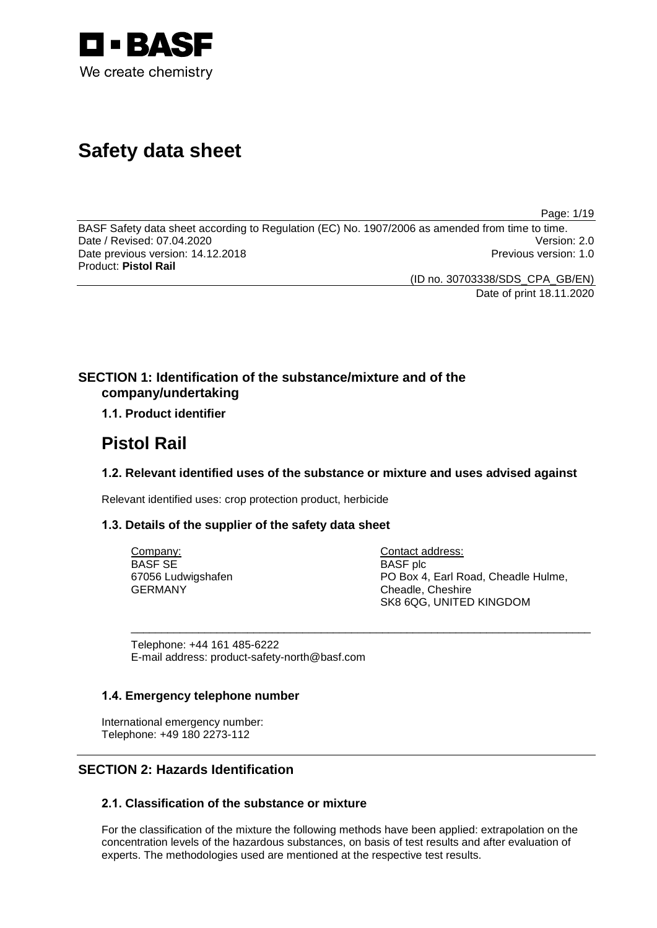

# **Safety data sheet**

Page: 1/19

BASF Safety data sheet according to Regulation (EC) No. 1907/2006 as amended from time to time.<br>Date / Revised: 07.04.2020 Date / Revised: 07.04.2020 Date previous version: 14.12.2018 **Previous version: 1.0 Previous version: 1.0** Product: **Pistol Rail**

(ID no. 30703338/SDS\_CPA\_GB/EN)

Date of print 18.11.2020

### **SECTION 1: Identification of the substance/mixture and of the company/undertaking**

### **1.1. Product identifier**

## **Pistol Rail**

### **1.2. Relevant identified uses of the substance or mixture and uses advised against**

\_\_\_\_\_\_\_\_\_\_\_\_\_\_\_\_\_\_\_\_\_\_\_\_\_\_\_\_\_\_\_\_\_\_\_\_\_\_\_\_\_\_\_\_\_\_\_\_\_\_\_\_\_\_\_\_\_\_\_\_\_\_\_\_\_\_\_\_\_\_\_\_\_\_\_

Relevant identified uses: crop protection product, herbicide

### **1.3. Details of the supplier of the safety data sheet**

Company: BASF SE 67056 Ludwigshafen GERMANY

Contact address: BASF plc PO Box 4, Earl Road, Cheadle Hulme, Cheadle, Cheshire SK8 6QG, UNITED KINGDOM

Telephone: +44 161 485-6222 E-mail address: product-safety-north@basf.com

### **1.4. Emergency telephone number**

International emergency number: Telephone: +49 180 2273-112

### **SECTION 2: Hazards Identification**

### **2.1. Classification of the substance or mixture**

For the classification of the mixture the following methods have been applied: extrapolation on the concentration levels of the hazardous substances, on basis of test results and after evaluation of experts. The methodologies used are mentioned at the respective test results.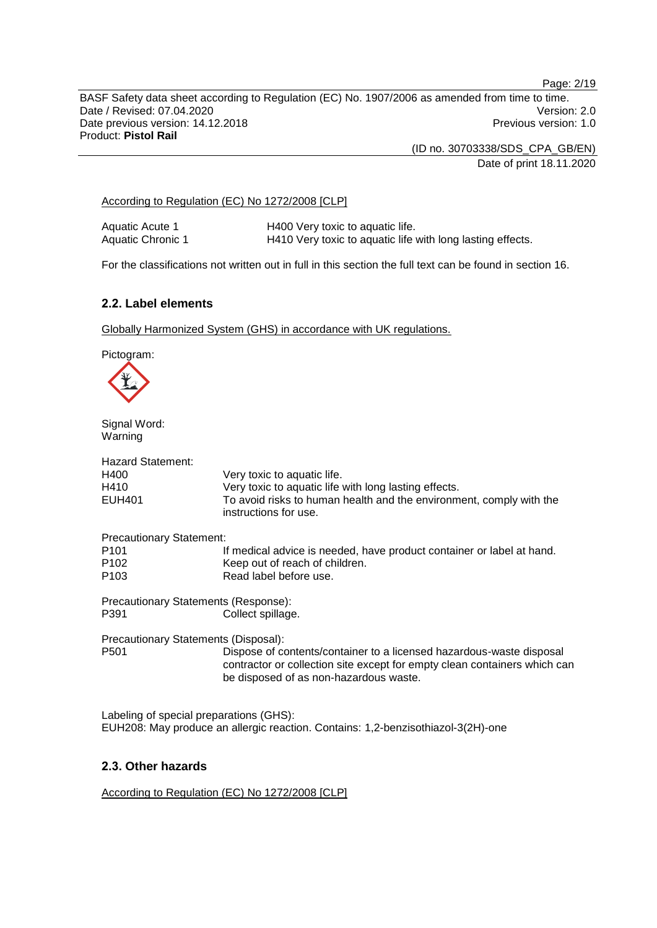Page: 2/19

BASF Safety data sheet according to Regulation (EC) No. 1907/2006 as amended from time to time. Date / Revised: 07.04.2020<br>
Date previous version: 14.12.2018<br>
Date previous version: 14.12.2018 Date previous version: 14.12.2018 Product: **Pistol Rail**

(ID no. 30703338/SDS\_CPA\_GB/EN)

Date of print 18.11.2020

### According to Regulation (EC) No 1272/2008 [CLP]

| Aquatic Acute 1   | H400 Very toxic to aquatic life.                           |
|-------------------|------------------------------------------------------------|
| Aquatic Chronic 1 | H410 Very toxic to aquatic life with long lasting effects. |

For the classifications not written out in full in this section the full text can be found in section 16.

### **2.2. Label elements**

Globally Harmonized System (GHS) in accordance with UK regulations.

Pictogram:



Signal Word: Warning

| <b>Hazard Statement:</b><br>H400<br>H410 | Very toxic to aquatic life.<br>Very toxic to aquatic life with long lasting effects.                                                                                                        |
|------------------------------------------|---------------------------------------------------------------------------------------------------------------------------------------------------------------------------------------------|
| EUH401                                   | To avoid risks to human health and the environment, comply with the<br>instructions for use.                                                                                                |
| <b>Precautionary Statement:</b>          |                                                                                                                                                                                             |
| P101                                     | If medical advice is needed, have product container or label at hand.                                                                                                                       |
| P102                                     | Keep out of reach of children.                                                                                                                                                              |
| P103                                     | Read label before use.                                                                                                                                                                      |
| Precautionary Statements (Response):     |                                                                                                                                                                                             |
| P391                                     | Collect spillage.                                                                                                                                                                           |
| Precautionary Statements (Disposal):     |                                                                                                                                                                                             |
| P501                                     | Dispose of contents/container to a licensed hazardous-waste disposal<br>contractor or collection site except for empty clean containers which can<br>be disposed of as non-hazardous waste. |

Labeling of special preparations (GHS): EUH208: May produce an allergic reaction. Contains: 1,2-benzisothiazol-3(2H)-one

### **2.3. Other hazards**

According to Regulation (EC) No 1272/2008 [CLP]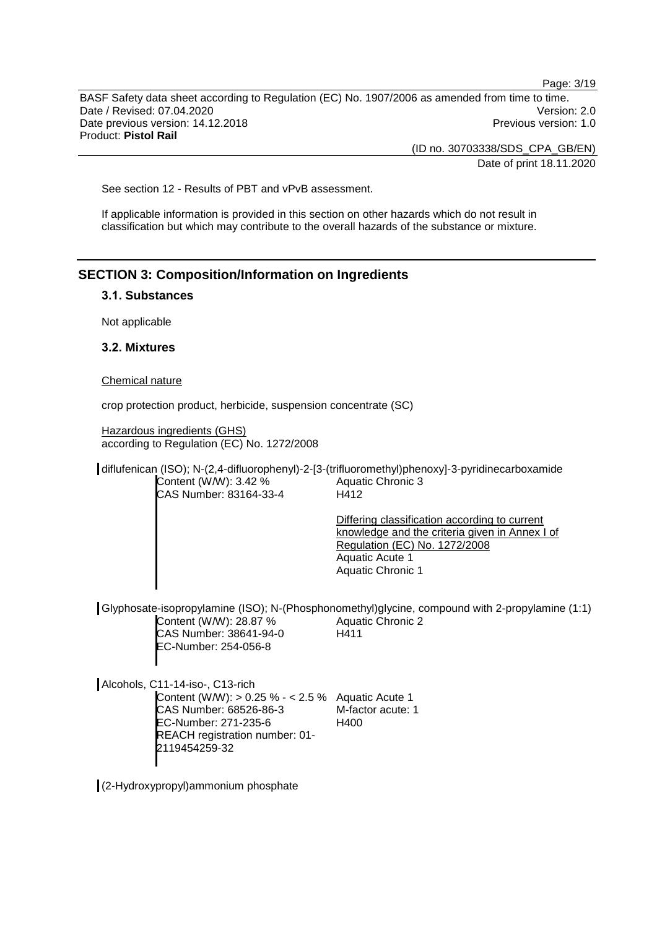BASF Safety data sheet according to Regulation (EC) No. 1907/2006 as amended from time to time. Date / Revised: 07.04.2020 Version: 2.0 Date previous version: 14.12.2018 **Previous version: 1.0 Previous version: 1.0** Product: **Pistol Rail**

> (ID no. 30703338/SDS\_CPA\_GB/EN) Date of print 18.11.2020

See section 12 - Results of PBT and vPvB assessment.

If applicable information is provided in this section on other hazards which do not result in classification but which may contribute to the overall hazards of the substance or mixture.

### **SECTION 3: Composition/Information on Ingredients**

### **3.1. Substances**

Not applicable

### **3.2. Mixtures**

#### Chemical nature

crop protection product, herbicide, suspension concentrate (SC)

Hazardous ingredients (GHS) according to Regulation (EC) No. 1272/2008

diflufenican (ISO); N-(2,4-difluorophenyl)-2-[3-(trifluoromethyl)phenoxy]-3-pyridinecarboxamide Content (W/W): 3.42 % CAS Number: 83164-33-4 Aquatic Chronic 3 H412

> Differing classification according to current knowledge and the criteria given in Annex I of Regulation (EC) No. 1272/2008 Aquatic Acute 1 Aquatic Chronic 1

Glyphosate-isopropylamine (ISO); N-(Phosphonomethyl)glycine, compound with 2-propylamine (1:1) Content (W/W): 28.87 % CAS Number: 38641-94-0 EC-Number: 254-056-8 Aquatic Chronic 2 H411

Alcohols, C11-14-iso-, C13-rich Content (W/W): > 0.25 % - < 2.5 % Aquatic Acute 1 CAS Number: 68526-86-3 EC-Number: 271-235-6 REACH registration number: 01- 2119454259-32 M-factor acute: 1 H400

(2-Hydroxypropyl)ammonium phosphate

Page: 3/19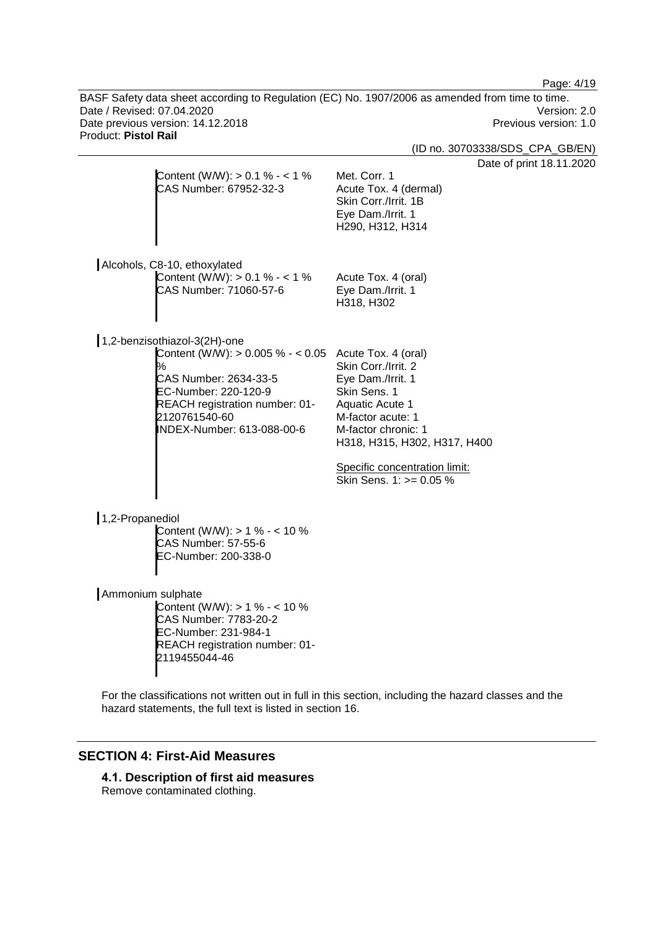Page: 4/19

BASF Safety data sheet according to Regulation (EC) No. 1907/2006 as amended from time to time. Date / Revised: 07.04.2020<br>
Date previous version: 14.12.2018<br>
Date previous version: 14.12.2018 Date previous version: 14.12.2018 Product: **Pistol Rail**

(ID no. 30703338/SDS\_CPA\_GB/EN)

orint 18.11.2020

| Content (W/W): $> 0.1$ % - < 1 %<br>CAS Number: 67952-32-3                                                                                                                                                                       | Date of p<br>Met. Corr. 1<br>Acute Tox. 4 (dermal)<br>Skin Corr./Irrit. 1B<br>Eye Dam./Irrit. 1<br>H290, H312, H314                                                                                                 |
|----------------------------------------------------------------------------------------------------------------------------------------------------------------------------------------------------------------------------------|---------------------------------------------------------------------------------------------------------------------------------------------------------------------------------------------------------------------|
| Alcohols, C8-10, ethoxylated<br>Content (W/W): $> 0.1 \% - 1 \%$<br>CAS Number: 71060-57-6                                                                                                                                       | Acute Tox. 4 (oral)<br>Eye Dam./Irrit. 1<br>H318, H302                                                                                                                                                              |
| 1,2-benzisothiazol-3(2H)-one<br>Content (W/W): $> 0.005$ % $- < 0.05$ Acute Tox. 4 (oral)<br>℅<br>CAS Number: 2634-33-5<br>EC-Number: 220-120-9<br>REACH registration number: 01-<br>2120761540-60<br>INDEX-Number: 613-088-00-6 | Skin Corr./Irrit. 2<br>Eye Dam./Irrit. 1<br>Skin Sens. 1<br>Aquatic Acute 1<br>M-factor acute: 1<br>M-factor chronic: 1<br>H318, H315, H302, H317, H400<br>Specific concentration limit:<br>Skin Sens. 1: >= 0.05 % |
| 1,2-Propanediol<br>Content (W/W): $> 1 \% - 10 \%$<br><b>CAS Number: 57-55-6</b><br>EC-Number: 200-338-0                                                                                                                         |                                                                                                                                                                                                                     |
| Ammonium sulphate<br>Content (W/W): $> 1 \% - 10 \%$<br>CAS Number: 7783-20-2<br>EC-Number: 231-984-1<br>REACH registration number: 01-<br>2119455044-46                                                                         |                                                                                                                                                                                                                     |

For the classifications not written out in full in this section, including the hazard classes and the hazard statements, the full text is listed in section 16.

### **SECTION 4: First-Aid Measures**

**4.1. Description of first aid measures** Remove contaminated clothing.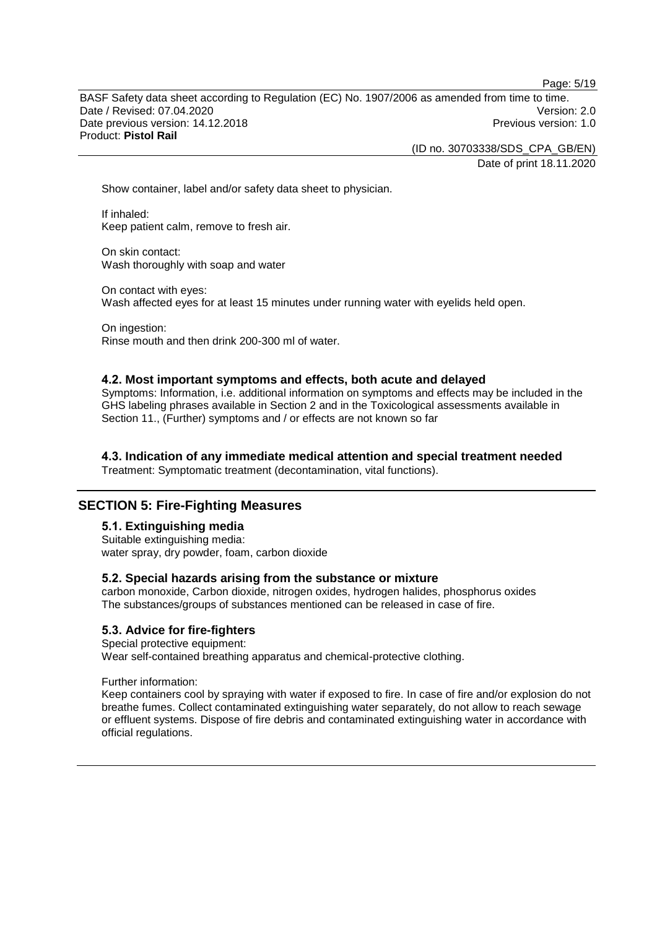Page: 5/19

BASF Safety data sheet according to Regulation (EC) No. 1907/2006 as amended from time to time. Date / Revised: 07.04.2020 Version: 2.0 Date previous version: 14.12.2018 **Previous version: 1.0 Previous version: 1.0** Product: **Pistol Rail**

(ID no. 30703338/SDS\_CPA\_GB/EN)

Date of print 18.11.2020

Show container, label and/or safety data sheet to physician.

If inhaled: Keep patient calm, remove to fresh air.

On skin contact: Wash thoroughly with soap and water

On contact with eyes: Wash affected eyes for at least 15 minutes under running water with eyelids held open.

On ingestion: Rinse mouth and then drink 200-300 ml of water.

### **4.2. Most important symptoms and effects, both acute and delayed**

Symptoms: Information, i.e. additional information on symptoms and effects may be included in the GHS labeling phrases available in Section 2 and in the Toxicological assessments available in Section 11., (Further) symptoms and / or effects are not known so far

### **4.3. Indication of any immediate medical attention and special treatment needed**

Treatment: Symptomatic treatment (decontamination, vital functions).

### **SECTION 5: Fire-Fighting Measures**

### **5.1. Extinguishing media**

Suitable extinguishing media: water spray, dry powder, foam, carbon dioxide

#### **5.2. Special hazards arising from the substance or mixture**

carbon monoxide, Carbon dioxide, nitrogen oxides, hydrogen halides, phosphorus oxides The substances/groups of substances mentioned can be released in case of fire.

### **5.3. Advice for fire-fighters**

Special protective equipment: Wear self-contained breathing apparatus and chemical-protective clothing.

Further information:

Keep containers cool by spraying with water if exposed to fire. In case of fire and/or explosion do not breathe fumes. Collect contaminated extinguishing water separately, do not allow to reach sewage or effluent systems. Dispose of fire debris and contaminated extinguishing water in accordance with official regulations.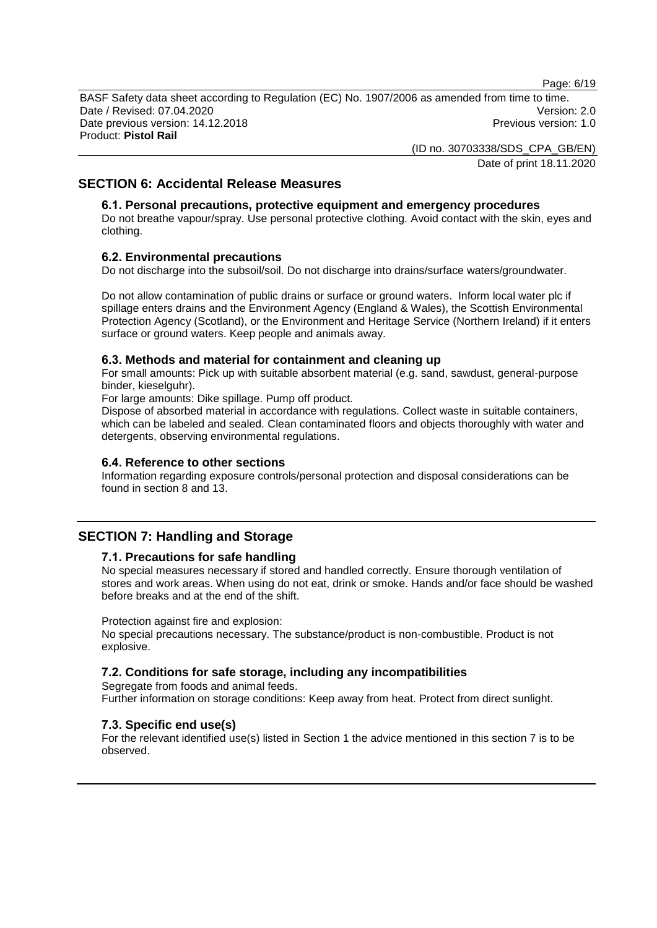Page: 6/19

BASF Safety data sheet according to Regulation (EC) No. 1907/2006 as amended from time to time. Date / Revised: 07.04.2020 Version: 2.0 Date previous version: 14.12.2018 **Previous version: 1.0 Previous version: 1.0** Product: **Pistol Rail**

> (ID no. 30703338/SDS\_CPA\_GB/EN) Date of print 18.11.2020

### **SECTION 6: Accidental Release Measures**

### **6.1. Personal precautions, protective equipment and emergency procedures**

Do not breathe vapour/spray. Use personal protective clothing. Avoid contact with the skin, eyes and clothing.

#### **6.2. Environmental precautions**

Do not discharge into the subsoil/soil. Do not discharge into drains/surface waters/groundwater.

Do not allow contamination of public drains or surface or ground waters. Inform local water plc if spillage enters drains and the Environment Agency (England & Wales), the Scottish Environmental Protection Agency (Scotland), or the Environment and Heritage Service (Northern Ireland) if it enters surface or ground waters. Keep people and animals away.

### **6.3. Methods and material for containment and cleaning up**

For small amounts: Pick up with suitable absorbent material (e.g. sand, sawdust, general-purpose binder, kieselguhr).

For large amounts: Dike spillage. Pump off product.

Dispose of absorbed material in accordance with regulations. Collect waste in suitable containers, which can be labeled and sealed. Clean contaminated floors and objects thoroughly with water and detergents, observing environmental regulations.

#### **6.4. Reference to other sections**

Information regarding exposure controls/personal protection and disposal considerations can be found in section 8 and 13.

### **SECTION 7: Handling and Storage**

#### **7.1. Precautions for safe handling**

No special measures necessary if stored and handled correctly. Ensure thorough ventilation of stores and work areas. When using do not eat, drink or smoke. Hands and/or face should be washed before breaks and at the end of the shift.

Protection against fire and explosion:

No special precautions necessary. The substance/product is non-combustible. Product is not explosive.

#### **7.2. Conditions for safe storage, including any incompatibilities**

Segregate from foods and animal feeds. Further information on storage conditions: Keep away from heat. Protect from direct sunlight.

#### **7.3. Specific end use(s)**

For the relevant identified use(s) listed in Section 1 the advice mentioned in this section 7 is to be observed.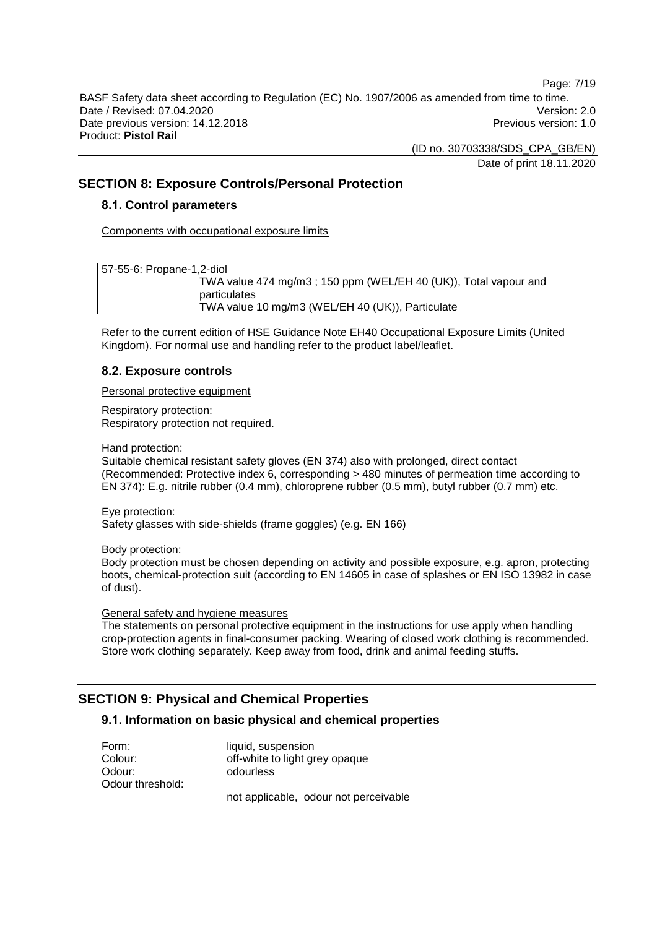Page: 7/19

BASF Safety data sheet according to Regulation (EC) No. 1907/2006 as amended from time to time. Date / Revised: 07.04.2020 Version: 2.0 Date previous version: 14.12.2018 **Previous version: 1.0 Previous version: 1.0** Product: **Pistol Rail**

(ID no. 30703338/SDS\_CPA\_GB/EN)

Date of print 18.11.2020

### **SECTION 8: Exposure Controls/Personal Protection**

### **8.1. Control parameters**

Components with occupational exposure limits

57-55-6: Propane-1,2-diol TWA value 474 mg/m3 ; 150 ppm (WEL/EH 40 (UK)), Total vapour and particulates TWA value 10 mg/m3 (WEL/EH 40 (UK)), Particulate

Refer to the current edition of HSE Guidance Note EH40 Occupational Exposure Limits (United Kingdom). For normal use and handling refer to the product label/leaflet.

### **8.2. Exposure controls**

Personal protective equipment

Respiratory protection: Respiratory protection not required.

Hand protection:

Suitable chemical resistant safety gloves (EN 374) also with prolonged, direct contact (Recommended: Protective index 6, corresponding > 480 minutes of permeation time according to EN 374): E.g. nitrile rubber (0.4 mm), chloroprene rubber (0.5 mm), butyl rubber (0.7 mm) etc.

Eye protection: Safety glasses with side-shields (frame goggles) (e.g. EN 166)

Body protection:

Body protection must be chosen depending on activity and possible exposure, e.g. apron, protecting boots, chemical-protection suit (according to EN 14605 in case of splashes or EN ISO 13982 in case of dust).

General safety and hygiene measures

The statements on personal protective equipment in the instructions for use apply when handling crop-protection agents in final-consumer packing. Wearing of closed work clothing is recommended. Store work clothing separately. Keep away from food, drink and animal feeding stuffs.

### **SECTION 9: Physical and Chemical Properties**

### **9.1. Information on basic physical and chemical properties**

| Form:            | liquid, suspension                                           |
|------------------|--------------------------------------------------------------|
| Colour:          | off-white to light grey opaque                               |
| Odour:           | odourless                                                    |
| Odour threshold: |                                                              |
|                  | متناه ومستوسط والمستنقذ والمسترق والماستقال متستور المتساوية |

not applicable, odour not perceivable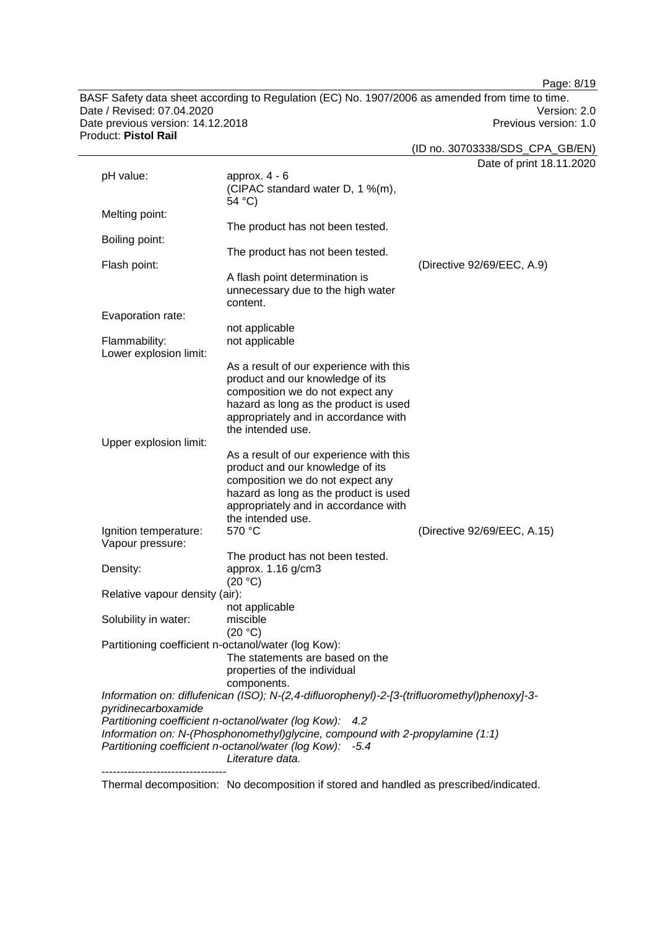Page: 8/19

BASF Safety data sheet according to Regulation (EC) No. 1907/2006 as amended from time to time. Date / Revised: 07.04.2020<br>
Date previous version: 14.12.2018<br>
Previous version: 14.12.2018 Date previous version: 14.12.2018 Product: **Pistol Rail**

|                                                                               |                                                                                                                                                                                                                       | (ID no. 30703338/SDS_CPA_GB/EN) |
|-------------------------------------------------------------------------------|-----------------------------------------------------------------------------------------------------------------------------------------------------------------------------------------------------------------------|---------------------------------|
|                                                                               |                                                                                                                                                                                                                       | Date of print 18.11.2020        |
| pH value:                                                                     | approx. $4 - 6$<br>(CIPAC standard water D, 1 %(m),<br>54 °C)                                                                                                                                                         |                                 |
| Melting point:                                                                | The product has not been tested.                                                                                                                                                                                      |                                 |
| Boiling point:                                                                |                                                                                                                                                                                                                       |                                 |
| Flash point:                                                                  | The product has not been tested.                                                                                                                                                                                      | (Directive 92/69/EEC, A.9)      |
|                                                                               | A flash point determination is<br>unnecessary due to the high water<br>content.                                                                                                                                       |                                 |
| Evaporation rate:                                                             |                                                                                                                                                                                                                       |                                 |
| Flammability:<br>Lower explosion limit:                                       | not applicable<br>not applicable                                                                                                                                                                                      |                                 |
|                                                                               | As a result of our experience with this<br>product and our knowledge of its<br>composition we do not expect any<br>hazard as long as the product is used<br>appropriately and in accordance with<br>the intended use. |                                 |
| Upper explosion limit:                                                        |                                                                                                                                                                                                                       |                                 |
|                                                                               | As a result of our experience with this<br>product and our knowledge of its<br>composition we do not expect any<br>hazard as long as the product is used<br>appropriately and in accordance with<br>the intended use. |                                 |
| Ignition temperature:                                                         | 570 °C                                                                                                                                                                                                                | (Directive 92/69/EEC, A.15)     |
| Vapour pressure:                                                              |                                                                                                                                                                                                                       |                                 |
| Density:                                                                      | The product has not been tested.<br>approx. 1.16 g/cm3<br>(20 °C)                                                                                                                                                     |                                 |
| Relative vapour density (air):                                                |                                                                                                                                                                                                                       |                                 |
|                                                                               | not applicable                                                                                                                                                                                                        |                                 |
| Solubility in water:                                                          | miscible                                                                                                                                                                                                              |                                 |
|                                                                               | (20 °C)<br>Partitioning coefficient n-octanol/water (log Kow):                                                                                                                                                        |                                 |
|                                                                               | The statements are based on the                                                                                                                                                                                       |                                 |
|                                                                               | properties of the individual<br>components.                                                                                                                                                                           |                                 |
| pyridinecarboxamide                                                           | Information on: diflufenican (ISO); N-(2,4-difluorophenyl)-2-[3-(trifluoromethyl)phenoxy]-3-<br>Partitioning coefficient n-octanol/water (log Kow):<br>4.2                                                            |                                 |
| Information on: N-(Phosphonomethyl)glycine, compound with 2-propylamine (1:1) |                                                                                                                                                                                                                       |                                 |
|                                                                               | Partitioning coefficient n-octanol/water (log Kow): -5.4<br>Literature data.                                                                                                                                          |                                 |
|                                                                               |                                                                                                                                                                                                                       |                                 |

Thermal decomposition: No decomposition if stored and handled as prescribed/indicated.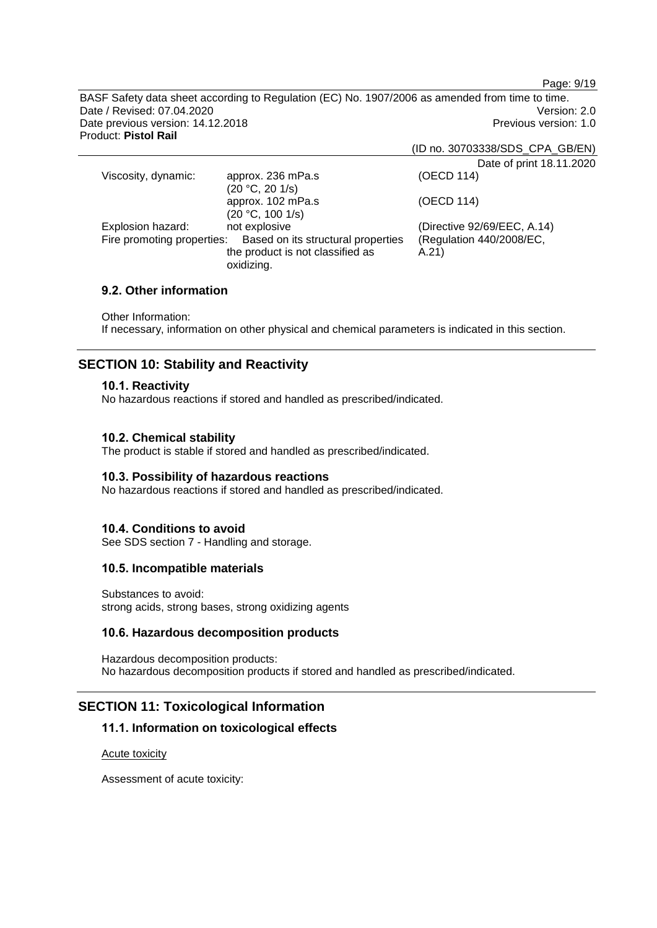Page: 9/19

BASF Safety data sheet according to Regulation (EC) No. 1907/2006 as amended from time to time. Date / Revised: 07.04.2020 Version: 2.0 Date previous version: 14.12.2018 **Previous version: 1.0 Previous version: 1.0** Product: **Pistol Rail**

(ID no. 30703338/SDS\_CPA\_GB/EN)

|                                                                  | Date of print 18.11.2020    |
|------------------------------------------------------------------|-----------------------------|
| approx. 236 mPa.s                                                | (OECD 114)                  |
| (20 °C, 20 1/s)                                                  |                             |
| approx. 102 mPa.s                                                | (OECD 114)                  |
| (20 °C, 100 1/s)                                                 |                             |
| not explosive                                                    | (Directive 92/69/EEC, A.14) |
| Fire promoting properties:<br>Based on its structural properties | (Regulation 440/2008/EC,    |
| the product is not classified as                                 | A.21                        |
| oxidizing.                                                       |                             |
|                                                                  |                             |

### **9.2. Other information**

Other Information:

If necessary, information on other physical and chemical parameters is indicated in this section.

### **SECTION 10: Stability and Reactivity**

### **10.1. Reactivity**

No hazardous reactions if stored and handled as prescribed/indicated.

### **10.2. Chemical stability**

The product is stable if stored and handled as prescribed/indicated.

#### **10.3. Possibility of hazardous reactions**

No hazardous reactions if stored and handled as prescribed/indicated.

#### **10.4. Conditions to avoid**

See SDS section 7 - Handling and storage.

#### **10.5. Incompatible materials**

Substances to avoid: strong acids, strong bases, strong oxidizing agents

#### **10.6. Hazardous decomposition products**

Hazardous decomposition products: No hazardous decomposition products if stored and handled as prescribed/indicated.

### **SECTION 11: Toxicological Information**

### **11.1. Information on toxicological effects**

Acute toxicity

Assessment of acute toxicity: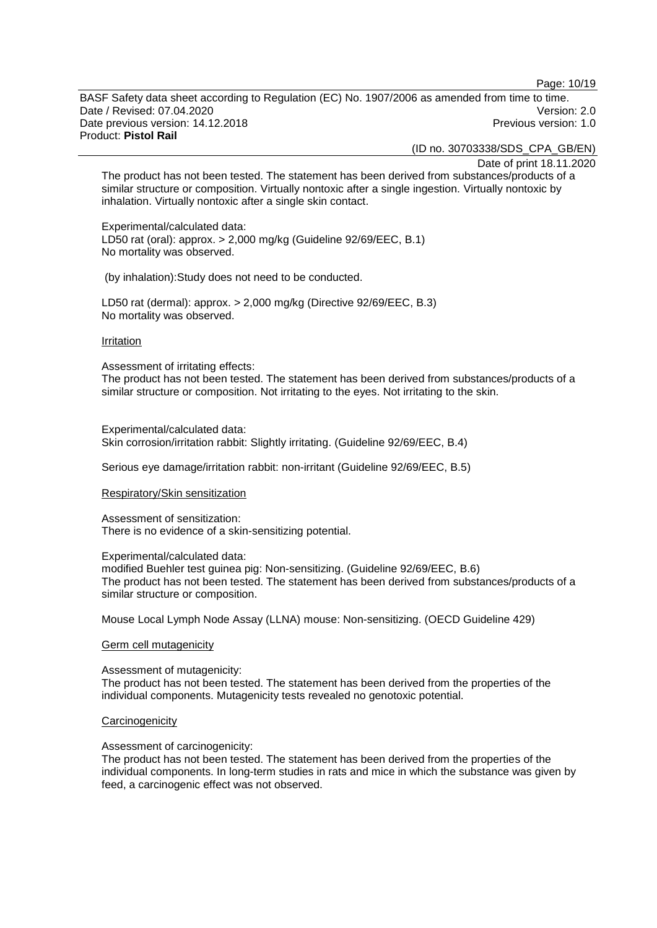Page: 10/19

BASF Safety data sheet according to Regulation (EC) No. 1907/2006 as amended from time to time. Date / Revised: 07.04.2020 Version: 2.0 Date previous version: 14.12.2018 **Previous version: 1.0 Previous version: 1.0** Product: **Pistol Rail**

(ID no. 30703338/SDS\_CPA\_GB/EN)

Date of print 18.11.2020

The product has not been tested. The statement has been derived from substances/products of a similar structure or composition. Virtually nontoxic after a single ingestion. Virtually nontoxic by inhalation. Virtually nontoxic after a single skin contact.

Experimental/calculated data: LD50 rat (oral): approx. > 2,000 mg/kg (Guideline 92/69/EEC, B.1) No mortality was observed.

(by inhalation):Study does not need to be conducted.

LD50 rat (dermal): approx. > 2,000 mg/kg (Directive 92/69/EEC, B.3) No mortality was observed.

**Irritation** 

Assessment of irritating effects:

The product has not been tested. The statement has been derived from substances/products of a similar structure or composition. Not irritating to the eyes. Not irritating to the skin.

Experimental/calculated data: Skin corrosion/irritation rabbit: Slightly irritating. (Guideline 92/69/EEC, B.4)

Serious eye damage/irritation rabbit: non-irritant (Guideline 92/69/EEC, B.5)

#### Respiratory/Skin sensitization

Assessment of sensitization: There is no evidence of a skin-sensitizing potential.

Experimental/calculated data:

modified Buehler test guinea pig: Non-sensitizing. (Guideline 92/69/EEC, B.6) The product has not been tested. The statement has been derived from substances/products of a similar structure or composition.

Mouse Local Lymph Node Assay (LLNA) mouse: Non-sensitizing. (OECD Guideline 429)

#### Germ cell mutagenicity

Assessment of mutagenicity:

The product has not been tested. The statement has been derived from the properties of the individual components. Mutagenicity tests revealed no genotoxic potential.

#### **Carcinogenicity**

Assessment of carcinogenicity:

The product has not been tested. The statement has been derived from the properties of the individual components. In long-term studies in rats and mice in which the substance was given by feed, a carcinogenic effect was not observed.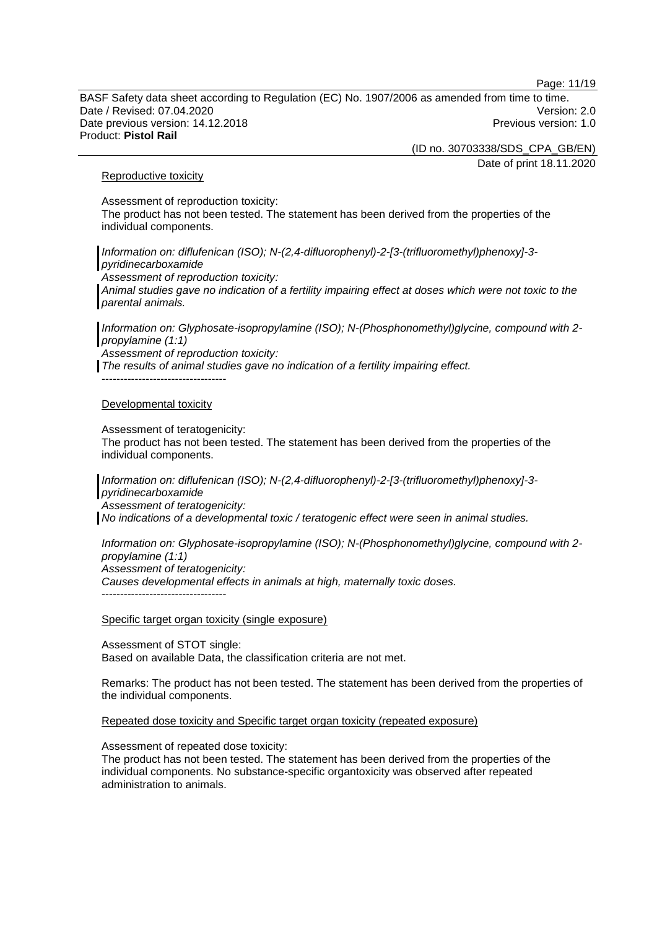Page: 11/19

BASF Safety data sheet according to Regulation (EC) No. 1907/2006 as amended from time to time. Date / Revised: 07.04.2020 Version: 2.0 Date previous version: 14.12.2018 **Previous version: 1.0 Previous version: 1.0** Product: **Pistol Rail**

(ID no. 30703338/SDS\_CPA\_GB/EN)

Date of print 18.11.2020

#### Reproductive toxicity

Assessment of reproduction toxicity: The product has not been tested. The statement has been derived from the properties of the individual components.

*Information on: diflufenican (ISO); N-(2,4-difluorophenyl)-2-[3-(trifluoromethyl)phenoxy]-3 pyridinecarboxamide*

*Assessment of reproduction toxicity:*

*Animal studies gave no indication of a fertility impairing effect at doses which were not toxic to the parental animals.*

*Information on: Glyphosate-isopropylamine (ISO); N-(Phosphonomethyl)glycine, compound with 2 propylamine (1:1)*

*Assessment of reproduction toxicity:*

*The results of animal studies gave no indication of a fertility impairing effect.*

----------------------------------

### Developmental toxicity

Assessment of teratogenicity:

The product has not been tested. The statement has been derived from the properties of the individual components.

*Information on: diflufenican (ISO); N-(2,4-difluorophenyl)-2-[3-(trifluoromethyl)phenoxy]-3 pyridinecarboxamide Assessment of teratogenicity:*

*No indications of a developmental toxic / teratogenic effect were seen in animal studies.*

*Information on: Glyphosate-isopropylamine (ISO); N-(Phosphonomethyl)glycine, compound with 2 propylamine (1:1) Assessment of teratogenicity: Causes developmental effects in animals at high, maternally toxic doses.*

----------------------------------

Specific target organ toxicity (single exposure)

Assessment of STOT single: Based on available Data, the classification criteria are not met.

Remarks: The product has not been tested. The statement has been derived from the properties of the individual components.

Repeated dose toxicity and Specific target organ toxicity (repeated exposure)

Assessment of repeated dose toxicity:

The product has not been tested. The statement has been derived from the properties of the individual components. No substance-specific organtoxicity was observed after repeated administration to animals.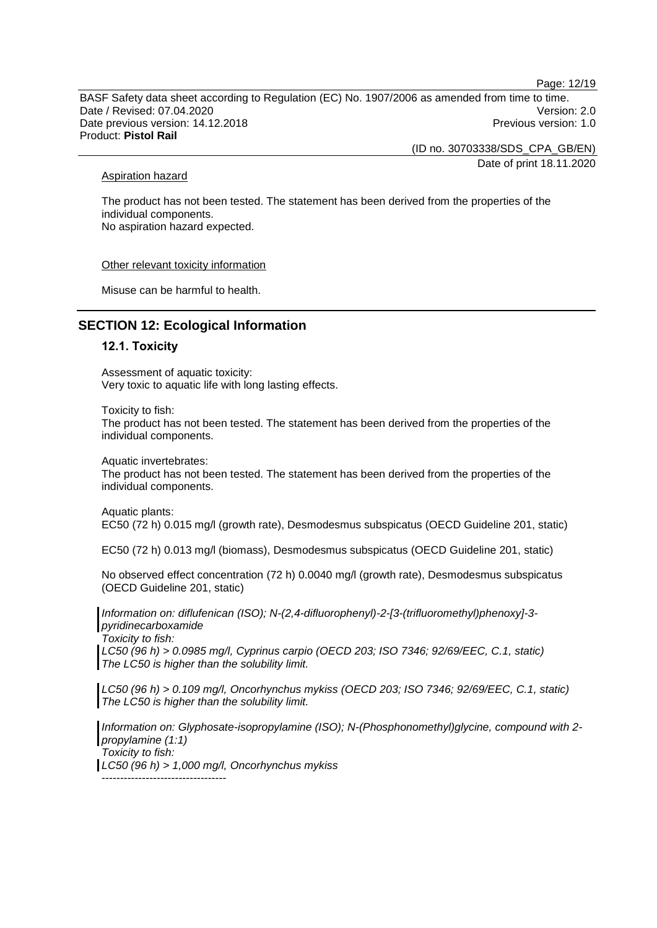Page: 12/19

BASF Safety data sheet according to Regulation (EC) No. 1907/2006 as amended from time to time. Date / Revised: 07.04.2020 Version: 2.0 Date previous version: 14.12.2018 **Previous version: 1.0 Previous version: 1.0** Product: **Pistol Rail**

(ID no. 30703338/SDS\_CPA\_GB/EN)

Date of print 18.11.2020

#### Aspiration hazard

The product has not been tested. The statement has been derived from the properties of the individual components. No aspiration hazard expected.

#### Other relevant toxicity information

Misuse can be harmful to health.

### **SECTION 12: Ecological Information**

### **12.1. Toxicity**

Assessment of aquatic toxicity: Very toxic to aquatic life with long lasting effects.

Toxicity to fish:

The product has not been tested. The statement has been derived from the properties of the individual components.

Aquatic invertebrates:

The product has not been tested. The statement has been derived from the properties of the individual components.

Aquatic plants:

EC50 (72 h) 0.015 mg/l (growth rate), Desmodesmus subspicatus (OECD Guideline 201, static)

EC50 (72 h) 0.013 mg/l (biomass), Desmodesmus subspicatus (OECD Guideline 201, static)

No observed effect concentration (72 h) 0.0040 mg/l (growth rate), Desmodesmus subspicatus (OECD Guideline 201, static)

*Information on: diflufenican (ISO); N-(2,4-difluorophenyl)-2-[3-(trifluoromethyl)phenoxy]-3 pyridinecarboxamide*

*Toxicity to fish:*

*LC50 (96 h) > 0.0985 mg/l, Cyprinus carpio (OECD 203; ISO 7346; 92/69/EEC, C.1, static) The LC50 is higher than the solubility limit.*

*LC50 (96 h) > 0.109 mg/l, Oncorhynchus mykiss (OECD 203; ISO 7346; 92/69/EEC, C.1, static) The LC50 is higher than the solubility limit.*

*Information on: Glyphosate-isopropylamine (ISO); N-(Phosphonomethyl)glycine, compound with 2 propylamine (1:1)*

*Toxicity to fish:*

----------------------------------

*LC50 (96 h) > 1,000 mg/l, Oncorhynchus mykiss*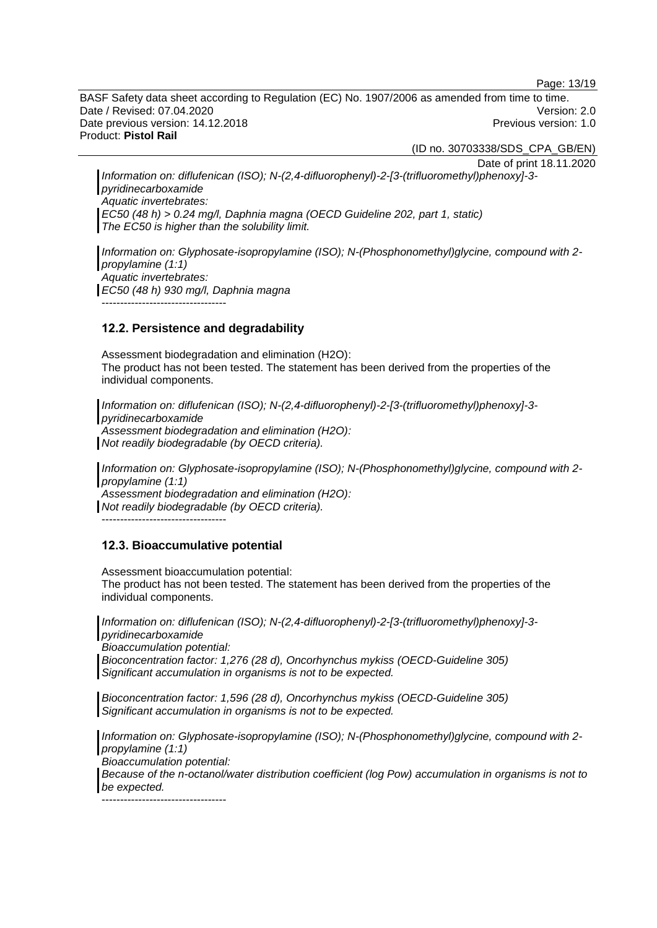Page: 13/19

BASF Safety data sheet according to Regulation (EC) No. 1907/2006 as amended from time to time. Date / Revised: 07.04.2020 Version: 2.0 Date previous version: 14.12.2018 **Previous version: 1.0 Previous version: 1.0** Product: **Pistol Rail**

(ID no. 30703338/SDS\_CPA\_GB/EN)

Date of print 18.11.2020

*Information on: diflufenican (ISO); N-(2,4-difluorophenyl)-2-[3-(trifluoromethyl)phenoxy]-3 pyridinecarboxamide Aquatic invertebrates: EC50 (48 h) > 0.24 mg/l, Daphnia magna (OECD Guideline 202, part 1, static) The EC50 is higher than the solubility limit.*

*Information on: Glyphosate-isopropylamine (ISO); N-(Phosphonomethyl)glycine, compound with 2 propylamine (1:1) Aquatic invertebrates: EC50 (48 h) 930 mg/l, Daphnia magna* ----------------------------------

### **12.2. Persistence and degradability**

Assessment biodegradation and elimination (H2O): The product has not been tested. The statement has been derived from the properties of the individual components.

*Information on: diflufenican (ISO); N-(2,4-difluorophenyl)-2-[3-(trifluoromethyl)phenoxy]-3 pyridinecarboxamide Assessment biodegradation and elimination (H2O): Not readily biodegradable (by OECD criteria).*

*Information on: Glyphosate-isopropylamine (ISO); N-(Phosphonomethyl)glycine, compound with 2 propylamine (1:1)*

*Assessment biodegradation and elimination (H2O): Not readily biodegradable (by OECD criteria).*

### **12.3. Bioaccumulative potential**

Assessment bioaccumulation potential: The product has not been tested. The statement has been derived from the properties of the individual components.

*Information on: diflufenican (ISO); N-(2,4-difluorophenyl)-2-[3-(trifluoromethyl)phenoxy]-3 pyridinecarboxamide*

*Bioaccumulation potential:*

*Bioconcentration factor: 1,276 (28 d), Oncorhynchus mykiss (OECD-Guideline 305) Significant accumulation in organisms is not to be expected.*

*Bioconcentration factor: 1,596 (28 d), Oncorhynchus mykiss (OECD-Guideline 305) Significant accumulation in organisms is not to be expected.*

*Information on: Glyphosate-isopropylamine (ISO); N-(Phosphonomethyl)glycine, compound with 2 propylamine (1:1)*

*Bioaccumulation potential:*

*Because of the n-octanol/water distribution coefficient (log Pow) accumulation in organisms is not to be expected.*

----------------------------------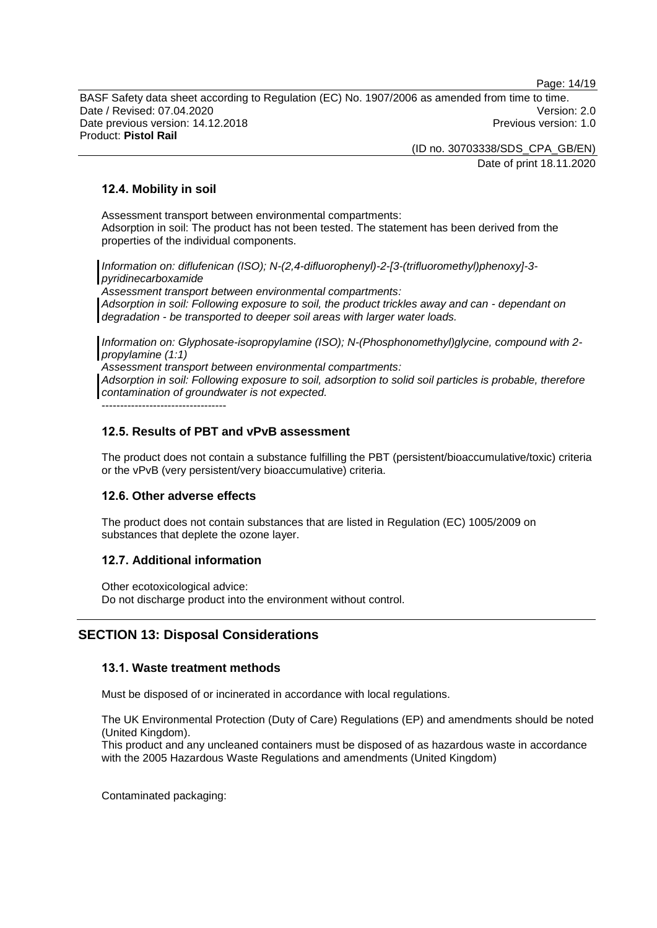Page: 14/19

BASF Safety data sheet according to Regulation (EC) No. 1907/2006 as amended from time to time. Date / Revised: 07.04.2020 Version: 2.0 Date previous version: 14.12.2018 **Previous version: 1.0 Previous version: 1.0** Product: **Pistol Rail**

> (ID no. 30703338/SDS\_CPA\_GB/EN) Date of print 18.11.2020

**12.4. Mobility in soil**

Assessment transport between environmental compartments: Adsorption in soil: The product has not been tested. The statement has been derived from the properties of the individual components.

*Information on: diflufenican (ISO); N-(2,4-difluorophenyl)-2-[3-(trifluoromethyl)phenoxy]-3 pyridinecarboxamide*

*Assessment transport between environmental compartments:*

*Adsorption in soil: Following exposure to soil, the product trickles away and can - dependant on degradation - be transported to deeper soil areas with larger water loads.*

*Information on: Glyphosate-isopropylamine (ISO); N-(Phosphonomethyl)glycine, compound with 2 propylamine (1:1)*

*Assessment transport between environmental compartments:*

*Adsorption in soil: Following exposure to soil, adsorption to solid soil particles is probable, therefore contamination of groundwater is not expected.*

 $-$ 

### **12.5. Results of PBT and vPvB assessment**

The product does not contain a substance fulfilling the PBT (persistent/bioaccumulative/toxic) criteria or the vPvB (very persistent/very bioaccumulative) criteria.

### **12.6. Other adverse effects**

The product does not contain substances that are listed in Regulation (EC) 1005/2009 on substances that deplete the ozone layer.

### **12.7. Additional information**

Other ecotoxicological advice: Do not discharge product into the environment without control.

### **SECTION 13: Disposal Considerations**

#### **13.1. Waste treatment methods**

Must be disposed of or incinerated in accordance with local regulations.

The UK Environmental Protection (Duty of Care) Regulations (EP) and amendments should be noted (United Kingdom).

This product and any uncleaned containers must be disposed of as hazardous waste in accordance with the 2005 Hazardous Waste Regulations and amendments (United Kingdom)

Contaminated packaging: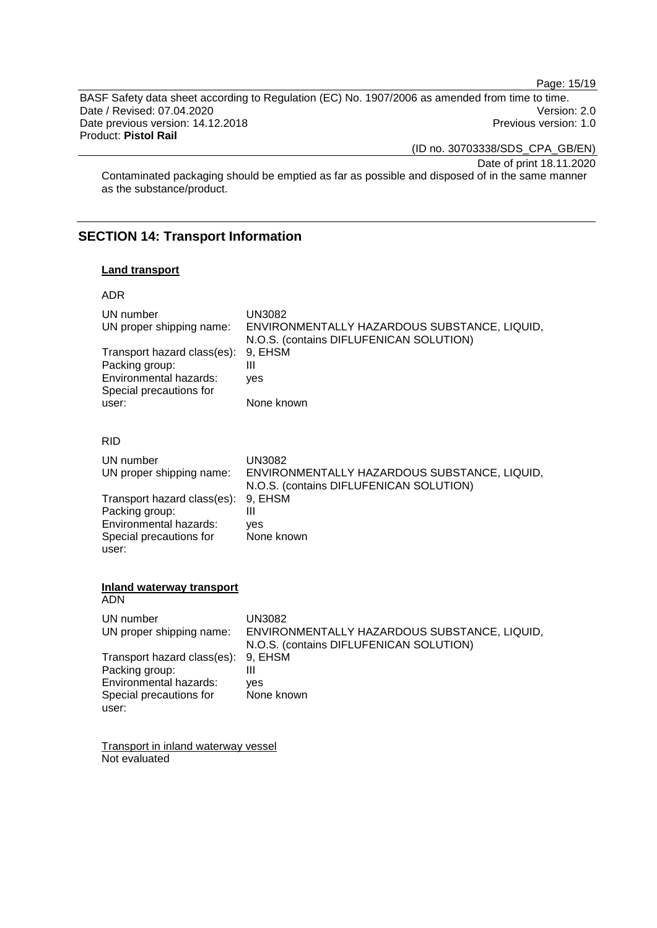Page: 15/19

BASF Safety data sheet according to Regulation (EC) No. 1907/2006 as amended from time to time. Date / Revised: 07.04.2020<br>
Date previous version: 14.12.2018<br>
Date previous version: 14.12.2018 Date previous version: 14.12.2018 Product: **Pistol Rail**

(ID no. 30703338/SDS\_CPA\_GB/EN)

Date of print 18.11.2020

Contaminated packaging should be emptied as far as possible and disposed of in the same manner as the substance/product.

### **SECTION 14: Transport Information**

#### **Land transport**

| <b>UN3082</b><br>ENVIRONMENTALLY HAZARDOUS SUBSTANCE, LIQUID,<br>N.O.S. (contains DIFLUFENICAN SOLUTION) |
|----------------------------------------------------------------------------------------------------------|
| 9, EHSM<br>Ш<br>ves                                                                                      |
| None known                                                                                               |
|                                                                                                          |
| <b>UN3082</b><br>ENVIRONMENTALLY HAZARDOUS SUBSTANCE, LIQUID,<br>N.O.S. (contains DIFLUFENICAN SOLUTION) |
| 9, EHSM<br>Ш<br>ves<br>None known                                                                        |
|                                                                                                          |
| <b>UN3082</b><br>ENVIRONMENTALLY HAZARDOUS SUBSTANCE, LIQUID,<br>N.O.S. (contains DIFLUFENICAN SOLUTION) |
| 9, EHSM<br>Ш<br>ves<br>None known                                                                        |
|                                                                                                          |

Transport in inland waterway vessel Not evaluated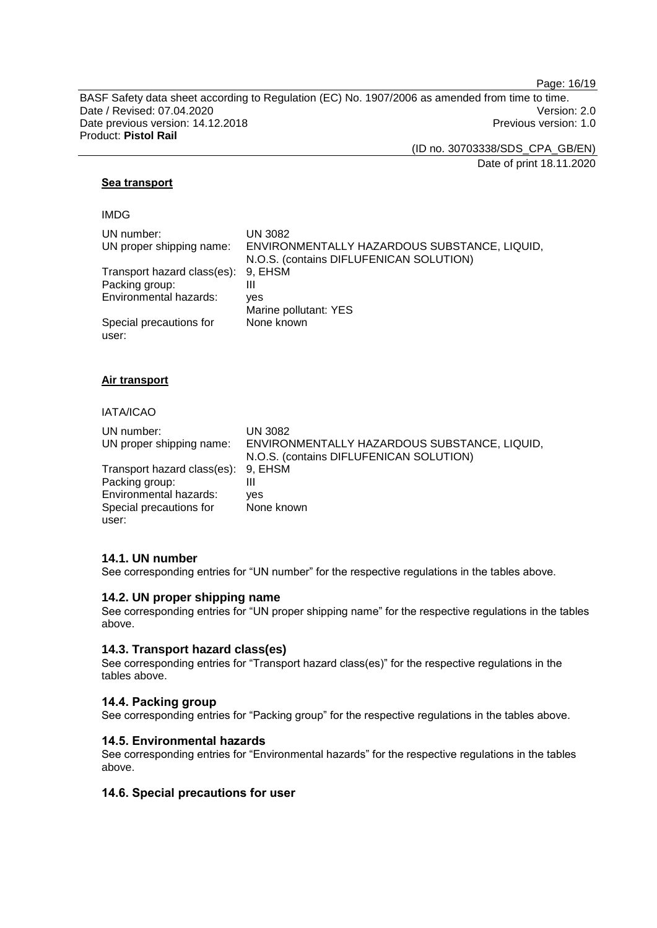Page: 16/19

BASF Safety data sheet according to Regulation (EC) No. 1907/2006 as amended from time to time. Date / Revised: 07.04.2020<br>
Date previous version: 14.12.2018<br>
Date previous version: 14.12.2018 Date previous version: 14.12.2018 Product: **Pistol Rail**

(ID no. 30703338/SDS\_CPA\_GB/EN)

Date of print 18.11.2020

### **Sea transport**

### IMDG

| UN number:                  | <b>UN 3082</b>                               |
|-----------------------------|----------------------------------------------|
| UN proper shipping name:    | ENVIRONMENTALLY HAZARDOUS SUBSTANCE, LIQUID, |
|                             | N.O.S. (contains DIFLUFENICAN SOLUTION)      |
| Transport hazard class(es): | 9. EHSM                                      |
| Packing group:              | Ш                                            |
| Environmental hazards:      | ves                                          |
|                             | Marine pollutant: YES                        |
| Special precautions for     | None known                                   |
| user:                       |                                              |

### **Air transport**

#### IATA/ICAO

| UN number:                          | <b>UN 3082</b>                               |
|-------------------------------------|----------------------------------------------|
| UN proper shipping name:            | ENVIRONMENTALLY HAZARDOUS SUBSTANCE, LIQUID, |
|                                     | N.O.S. (contains DIFLUFENICAN SOLUTION)      |
| Transport hazard class(es): 9, EHSM |                                              |
| Packing group:                      | Ш                                            |
| Environmental hazards:              | ves                                          |
| Special precautions for             | None known                                   |
| user:                               |                                              |
|                                     |                                              |

#### **14.1. UN number**

See corresponding entries for "UN number" for the respective regulations in the tables above.

### **14.2. UN proper shipping name**

See corresponding entries for "UN proper shipping name" for the respective regulations in the tables above.

#### **14.3. Transport hazard class(es)**

See corresponding entries for "Transport hazard class(es)" for the respective regulations in the tables above.

#### **14.4. Packing group**

See corresponding entries for "Packing group" for the respective regulations in the tables above.

### **14.5. Environmental hazards**

See corresponding entries for "Environmental hazards" for the respective regulations in the tables above.

### **14.6. Special precautions for user**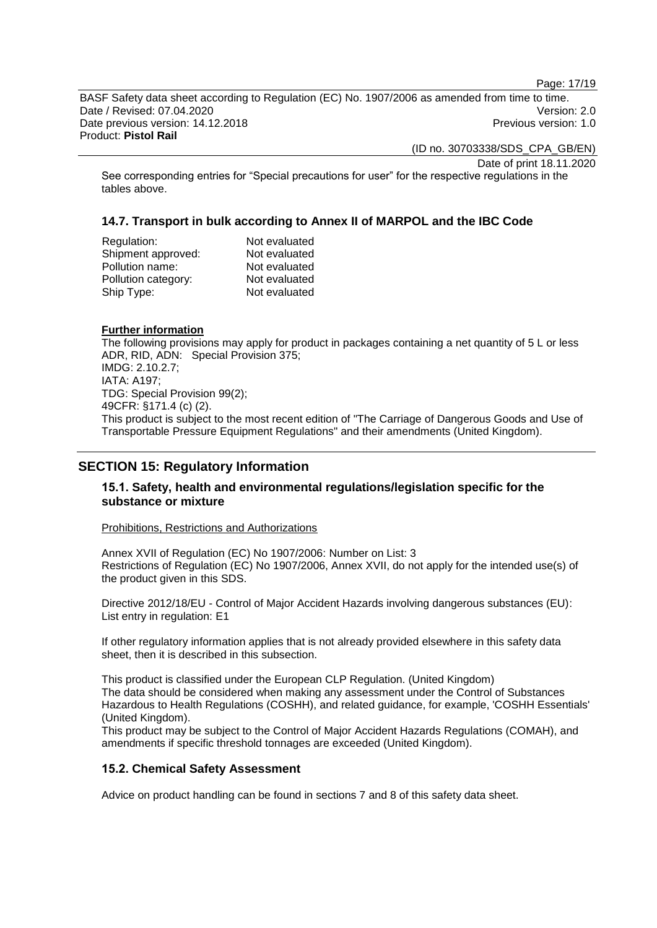Page: 17/19

BASF Safety data sheet according to Regulation (EC) No. 1907/2006 as amended from time to time. Date / Revised: 07.04.2020 Version: 2.0 Date previous version: 14.12.2018 **Previous version: 1.0 Previous version: 1.0** Product: **Pistol Rail**

(ID no. 30703338/SDS\_CPA\_GB/EN)

Date of print 18.11.2020

See corresponding entries for "Special precautions for user" for the respective regulations in the tables above.

### **14.7. Transport in bulk according to Annex II of MARPOL and the IBC Code**

| Not evaluated |
|---------------|
| Not evaluated |
| Not evaluated |
| Not evaluated |
| Not evaluated |
|               |

### **Further information**

The following provisions may apply for product in packages containing a net quantity of 5 L or less ADR, RID, ADN: Special Provision 375; IMDG: 2.10.2.7; IATA: A197; TDG: Special Provision 99(2); 49CFR: §171.4 (c) (2). This product is subject to the most recent edition of "The Carriage of Dangerous Goods and Use of Transportable Pressure Equipment Regulations" and their amendments (United Kingdom).

### **SECTION 15: Regulatory Information**

### **15.1. Safety, health and environmental regulations/legislation specific for the substance or mixture**

Prohibitions, Restrictions and Authorizations

Annex XVII of Regulation (EC) No 1907/2006: Number on List: 3 Restrictions of Regulation (EC) No 1907/2006, Annex XVII, do not apply for the intended use(s) of the product given in this SDS.

Directive 2012/18/EU - Control of Major Accident Hazards involving dangerous substances (EU): List entry in regulation: E1

If other regulatory information applies that is not already provided elsewhere in this safety data sheet, then it is described in this subsection.

This product is classified under the European CLP Regulation. (United Kingdom) The data should be considered when making any assessment under the Control of Substances Hazardous to Health Regulations (COSHH), and related guidance, for example, 'COSHH Essentials' (United Kingdom).

This product may be subject to the Control of Major Accident Hazards Regulations (COMAH), and amendments if specific threshold tonnages are exceeded (United Kingdom).

### **15.2. Chemical Safety Assessment**

Advice on product handling can be found in sections 7 and 8 of this safety data sheet.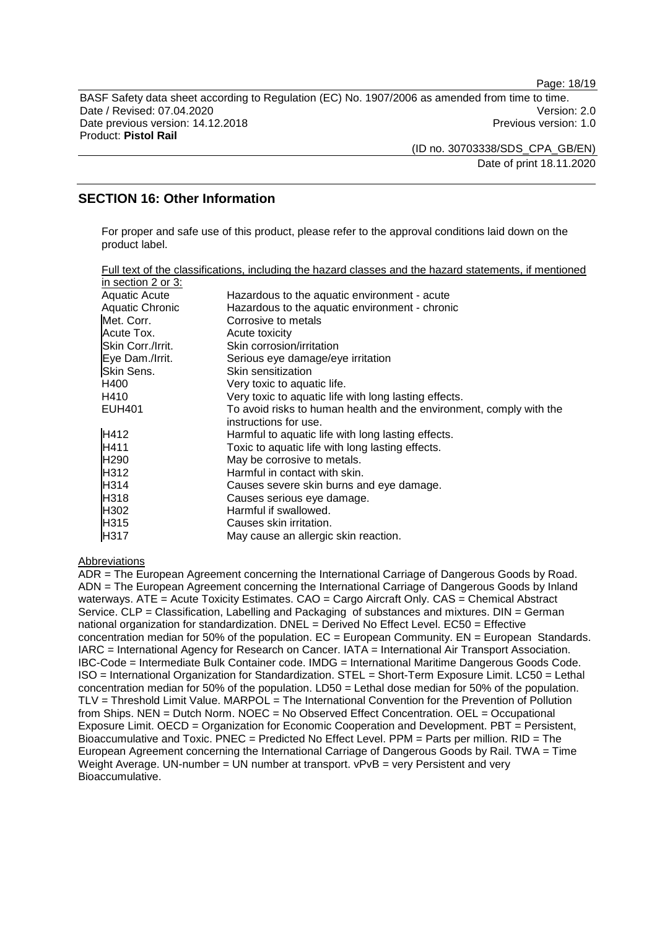Page: 18/19

BASF Safety data sheet according to Regulation (EC) No. 1907/2006 as amended from time to time. Date / Revised: 07.04.2020 Version: 2.0 Date previous version: 14.12.2018 **Previous version: 1.0 Previous version: 1.0** Product: **Pistol Rail**

> (ID no. 30703338/SDS\_CPA\_GB/EN) Date of print 18.11.2020

### **SECTION 16: Other Information**

For proper and safe use of this product, please refer to the approval conditions laid down on the product label.

|                    | Full text of the classifications, including the hazard classes and the hazard statements, if mentioned |
|--------------------|--------------------------------------------------------------------------------------------------------|
| in section 2 or 3: |                                                                                                        |
| Aquatic Acute      | Hazardous to the aquatic environment - acute                                                           |
| Aquatic Chronic    | Hazardous to the aquatic environment - chronic                                                         |
| Met. Corr.         | Corrosive to metals                                                                                    |
| Acute Tox.         | Acute toxicity                                                                                         |
| Skin Corr./Irrit.  | Skin corrosion/irritation                                                                              |
| Eye Dam./Irrit.    | Serious eye damage/eye irritation                                                                      |
| Skin Sens.         | Skin sensitization                                                                                     |
| H400               | Very toxic to aquatic life.                                                                            |
| H410               | Very toxic to aquatic life with long lasting effects.                                                  |
| <b>EUH401</b>      | To avoid risks to human health and the environment, comply with the                                    |
|                    | instructions for use.                                                                                  |
| H412               | Harmful to aquatic life with long lasting effects.                                                     |
| H411               | Toxic to aquatic life with long lasting effects.                                                       |
| H <sub>290</sub>   | May be corrosive to metals.                                                                            |
| H312               | Harmful in contact with skin.                                                                          |
| H314               | Causes severe skin burns and eye damage.                                                               |
| H318               | Causes serious eye damage.                                                                             |
| H302               | Harmful if swallowed.                                                                                  |
| H315               | Causes skin irritation.                                                                                |
| H317               | May cause an allergic skin reaction.                                                                   |

#### Abbreviations

ADR = The European Agreement concerning the International Carriage of Dangerous Goods by Road. ADN = The European Agreement concerning the International Carriage of Dangerous Goods by Inland waterways. ATE = Acute Toxicity Estimates. CAO = Cargo Aircraft Only. CAS = Chemical Abstract Service. CLP = Classification, Labelling and Packaging of substances and mixtures. DIN = German national organization for standardization. DNEL = Derived No Effect Level. EC50 = Effective concentration median for 50% of the population.  $EC = European$  Community.  $EN = European$  Standards. IARC = International Agency for Research on Cancer. IATA = International Air Transport Association. IBC-Code = Intermediate Bulk Container code. IMDG = International Maritime Dangerous Goods Code. ISO = International Organization for Standardization. STEL = Short-Term Exposure Limit. LC50 = Lethal concentration median for 50% of the population. LD50 = Lethal dose median for 50% of the population. TLV = Threshold Limit Value. MARPOL = The International Convention for the Prevention of Pollution from Ships. NEN = Dutch Norm. NOEC = No Observed Effect Concentration. OEL = Occupational Exposure Limit. OECD = Organization for Economic Cooperation and Development. PBT = Persistent, Bioaccumulative and Toxic. PNEC = Predicted No Effect Level. PPM = Parts per million. RID = The European Agreement concerning the International Carriage of Dangerous Goods by Rail. TWA = Time Weight Average. UN-number = UN number at transport. vPvB = very Persistent and very Bioaccumulative.